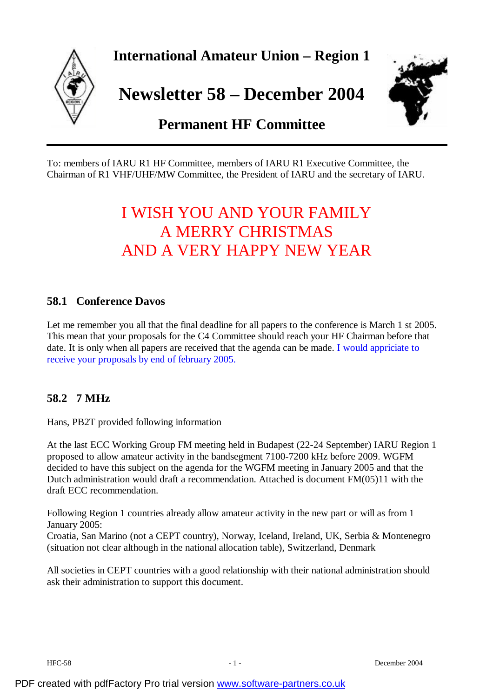

To: members of IARU R1 HF Committee, members of IARU R1 Executive Committee, the Chairman of R1 VHF/UHF/MW Committee, the President of IARU and the secretary of IARU.

# I WISH YOU AND YOUR FAMILY A MERRY CHRISTMAS AND A VERY HAPPY NEW YEAR

## **58.1 Conference Davos**

Let me remember you all that the final deadline for all papers to the conference is March 1 st 2005. This mean that your proposals for the C4 Committee should reach your HF Chairman before that date. It is only when all papers are received that the agenda can be made. I would appriciate to receive your proposals by end of february 2005.

## **58.2 7 MHz**

Hans, PB2T provided following information

At the last ECC Working Group FM meeting held in Budapest (22-24 September) IARU Region 1 proposed to allow amateur activity in the bandsegment 7100-7200 kHz before 2009. WGFM decided to have this subject on the agenda for the WGFM meeting in January 2005 and that the Dutch administration would draft a recommendation. Attached is document FM(05)11 with the draft ECC recommendation.

Following Region 1 countries already allow amateur activity in the new part or will as from 1 January 2005:

Croatia, San Marino (not a CEPT country), Norway, Iceland, Ireland, UK, Serbia & Montenegro (situation not clear although in the national allocation table), Switzerland, Denmark

All societies in CEPT countries with a good relationship with their national administration should ask their administration to support this document.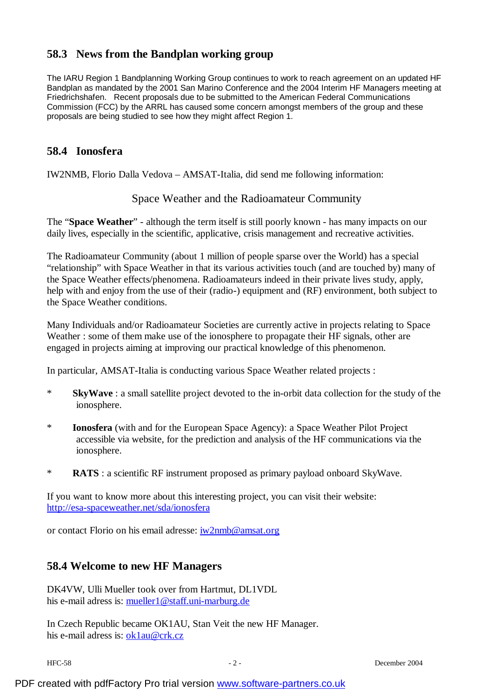# **58.3 News from the Bandplan working group**

The IARU Region 1 Bandplanning Working Group continues to work to reach agreement on an updated HF Bandplan as mandated by the 2001 San Marino Conference and the 2004 Interim HF Managers meeting at Friedrichshafen. Recent proposals due to be submitted to the American Federal Communications Commission (FCC) by the ARRL has caused some concern amongst members of the group and these proposals are being studied to see how they might affect Region 1.

## **58.4 Ionosfera**

IW2NMB, Florio Dalla Vedova – AMSAT-Italia, did send me following information:

### Space Weather and the Radioamateur Community

The "**Space Weather**" - although the term itself is still poorly known - has many impacts on our daily lives, especially in the scientific, applicative, crisis management and recreative activities.

The Radioamateur Community (about 1 million of people sparse over the World) has a special "relationship" with Space Weather in that its various activities touch (and are touched by) many of the Space Weather effects/phenomena. Radioamateurs indeed in their private lives study, apply, help with and enjoy from the use of their (radio-) equipment and (RF) environment, both subject to the Space Weather conditions.

Many Individuals and/or Radioamateur Societies are currently active in projects relating to Space Weather : some of them make use of the ionosphere to propagate their HF signals, other are engaged in projects aiming at improving our practical knowledge of this phenomenon.

In particular, AMSAT-Italia is conducting various Space Weather related projects :

- \* **SkyWave** : a small satellite project devoted to the in-orbit data collection for the study of the ionosphere.
- \* **Ionosfera** (with and for the European Space Agency): a Space Weather Pilot Project accessible via website, for the prediction and analysis of the HF communications via the ionosphere.
- \* **RATS** : a scientific RF instrument proposed as primary payload onboard SkyWave.

If you want to know more about this interesting project, you can visit their website: <http://esa-spaceweather.net/sda/ionosfera>

or contact Florio on his email adresse: [iw2nmb@amsat.org](mailto:iw2nmb@amsat.org)

### **58.4 Welcome to new HF Managers**

DK4VW, Ulli Mueller took over from Hartmut, DL1VDL his e-mail adress is: [mueller1@staff.uni-marburg.de](mailto:mueller1@staff.uni-marburg.de)

In Czech Republic became OK1AU, Stan Veit the new HF Manager. his e-mail adress is: [ok1au@crk.cz](mailto:ok1au@crk.cz)